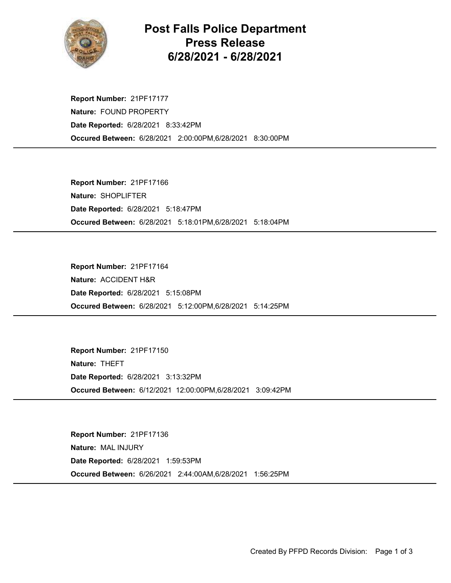

## Post Falls Police Department Press Release 6/28/2021 - 6/28/2021

Occured Between: 6/28/2021 2:00:00PM,6/28/2021 8:30:00PM Report Number: 21PF17177 Nature: FOUND PROPERTY Date Reported: 6/28/2021 8:33:42PM

Occured Between: 6/28/2021 5:18:01PM,6/28/2021 5:18:04PM Report Number: 21PF17166 Nature: SHOPLIFTER Date Reported: 6/28/2021 5:18:47PM

Occured Between: 6/28/2021 5:12:00PM,6/28/2021 5:14:25PM Report Number: 21PF17164 Nature: ACCIDENT H&R Date Reported: 6/28/2021 5:15:08PM

Occured Between: 6/12/2021 12:00:00PM,6/28/2021 3:09:42PM Report Number: 21PF17150 Nature: THEFT Date Reported: 6/28/2021 3:13:32PM

Occured Between: 6/26/2021 2:44:00AM,6/28/2021 1:56:25PM Report Number: 21PF17136 Nature: MAL INJURY Date Reported: 6/28/2021 1:59:53PM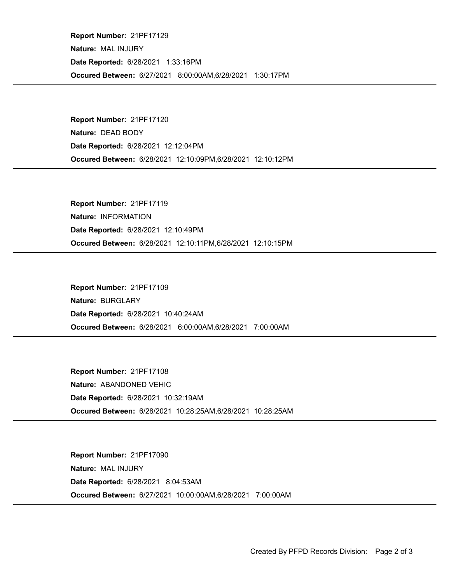Occured Between: 6/27/2021 8:00:00AM,6/28/2021 1:30:17PM Report Number: 21PF17129 Nature: MAL INJURY Date Reported: 6/28/2021 1:33:16PM

Occured Between: 6/28/2021 12:10:09PM,6/28/2021 12:10:12PM Report Number: 21PF17120 Nature: DEAD BODY Date Reported: 6/28/2021 12:12:04PM

Occured Between: 6/28/2021 12:10:11PM,6/28/2021 12:10:15PM Report Number: 21PF17119 Nature: INFORMATION Date Reported: 6/28/2021 12:10:49PM

Occured Between: 6/28/2021 6:00:00AM,6/28/2021 7:00:00AM Report Number: 21PF17109 Nature: BURGLARY Date Reported: 6/28/2021 10:40:24AM

Occured Between: 6/28/2021 10:28:25AM,6/28/2021 10:28:25AM Report Number: 21PF17108 Nature: ABANDONED VEHIC Date Reported: 6/28/2021 10:32:19AM

Occured Between: 6/27/2021 10:00:00AM,6/28/2021 7:00:00AM Report Number: 21PF17090 Nature: MAL INJURY Date Reported: 6/28/2021 8:04:53AM